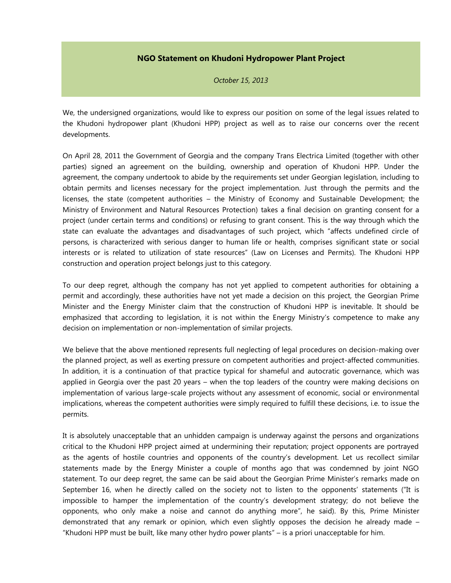## **NGO Statement on Khudoni Hydropower Plant Project**

*October 15, 2013*

We, the undersigned organizations, would like to express our position on some of the legal issues related to the Khudoni hydropower plant (Khudoni HPP) project as well as to raise our concerns over the recent developments.

On April 28, 2011 the Government of Georgia and the company Trans Electrica Limited (together with other parties) signed an agreement on the building, ownership and operation of Khudoni HPP. Under the agreement, the company undertook to abide by the requirements set under Georgian legislation, including to obtain permits and licenses necessary for the project implementation. Just through the permits and the licenses, the state (competent authorities – the Ministry of Economy and Sustainable Development; the Ministry of Environment and Natural Resources Protection) takes a final decision on granting consent for a project (under certain terms and conditions) or refusing to grant consent. This is the way through which the state can evaluate the advantages and disadvantages of such project, which "affects undefined circle of persons, is characterized with serious danger to human life or health, comprises significant state or social interests or is related to utilization of state resources" (Law on Licenses and Permits). The Khudoni HPP construction and operation project belongs just to this category.

To our deep regret, although the company has not yet applied to competent authorities for obtaining a permit and accordingly, these authorities have not yet made a decision on this project, the Georgian Prime Minister and the Energy Minister claim that the construction of Khudoni HPP is inevitable. It should be emphasized that according to legislation, it is not within the Energy Ministry's competence to make any decision on implementation or non-implementation of similar projects.

We believe that the above mentioned represents full neglecting of legal procedures on decision-making over the planned project, as well as exerting pressure on competent authorities and project-affected communities. In addition, it is a continuation of that practice typical for shameful and autocratic governance, which was applied in Georgia over the past 20 years – when the top leaders of the country were making decisions on implementation of various large-scale projects without any assessment of economic, social or environmental implications, whereas the competent authorities were simply required to fulfill these decisions, i.e. to issue the permits.

It is absolutely unacceptable that an unhidden campaign is underway against the persons and organizations critical to the Khudoni HPP project aimed at undermining their reputation; project opponents are portrayed as the agents of hostile countries and opponents of the country's development. Let us recollect similar statements made by the Energy Minister a couple of months ago that was condemned by joint NGO statement. To our deep regret, the same can be said about the Georgian Prime Minister's remarks made on September 16, when he directly called on the society not to listen to the opponents' statements ("It is impossible to hamper the implementation of the country's development strategy; do not believe the opponents, who only make a noise and cannot do anything more", he said). By this, Prime Minister demonstrated that any remark or opinion, which even slightly opposes the decision he already made – "Khudoni HPP must be built, like many other hydro power plants" – is a priori unacceptable for him.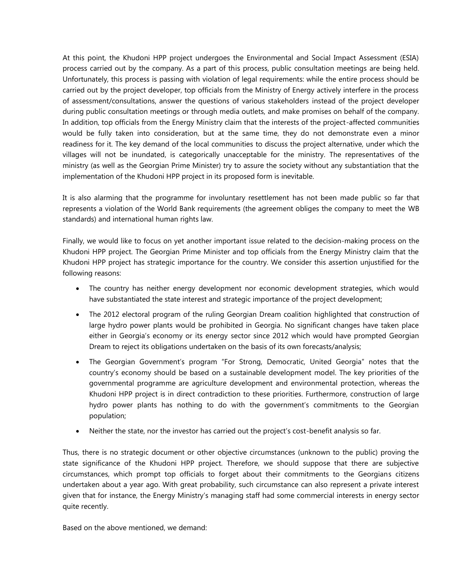At this point, the Khudoni HPP project undergoes the Environmental and Social Impact Assessment (ESIA) process carried out by the company. As a part of this process, public consultation meetings are being held. Unfortunately, this process is passing with violation of legal requirements: while the entire process should be carried out by the project developer, top officials from the Ministry of Energy actively interfere in the process of assessment/consultations, answer the questions of various stakeholders instead of the project developer during public consultation meetings or through media outlets, and make promises on behalf of the company. In addition, top officials from the Energy Ministry claim that the interests of the project-affected communities would be fully taken into consideration, but at the same time, they do not demonstrate even a minor readiness for it. The key demand of the local communities to discuss the project alternative, under which the villages will not be inundated, is categorically unacceptable for the ministry. The representatives of the ministry (as well as the Georgian Prime Minister) try to assure the society without any substantiation that the implementation of the Khudoni HPP project in its proposed form is inevitable.

It is also alarming that the programme for involuntary resettlement has not been made public so far that represents a violation of the World Bank requirements (the agreement obliges the company to meet the WB standards) and international human rights law.

Finally, we would like to focus on yet another important issue related to the decision-making process on the Khudoni HPP project. The Georgian Prime Minister and top officials from the Energy Ministry claim that the Khudoni HPP project has strategic importance for the country. We consider this assertion unjustified for the following reasons:

- The country has neither energy development nor economic development strategies, which would have substantiated the state interest and strategic importance of the project development;
- The 2012 electoral program of the ruling Georgian Dream coalition highlighted that construction of large hydro power plants would be prohibited in Georgia. No significant changes have taken place either in Georgia's economy or its energy sector since 2012 which would have prompted Georgian Dream to reject its obligations undertaken on the basis of its own forecasts/analysis;
- The Georgian Government's program "For Strong, Democratic, United Georgia" notes that the country's economy should be based on a sustainable development model. The key priorities of the governmental programme are agriculture development and environmental protection, whereas the Khudoni HPP project is in direct contradiction to these priorities. Furthermore, construction of large hydro power plants has nothing to do with the government's commitments to the Georgian population;
- Neither the state, nor the investor has carried out the project's cost-benefit analysis so far.

Thus, there is no strategic document or other objective circumstances (unknown to the public) proving the state significance of the Khudoni HPP project. Therefore, we should suppose that there are subjective circumstances, which prompt top officials to forget about their commitments to the Georgians citizens undertaken about a year ago. With great probability, such circumstance can also represent a private interest given that for instance, the Energy Ministry's managing staff had some commercial interests in energy sector quite recently.

Based on the above mentioned, we demand: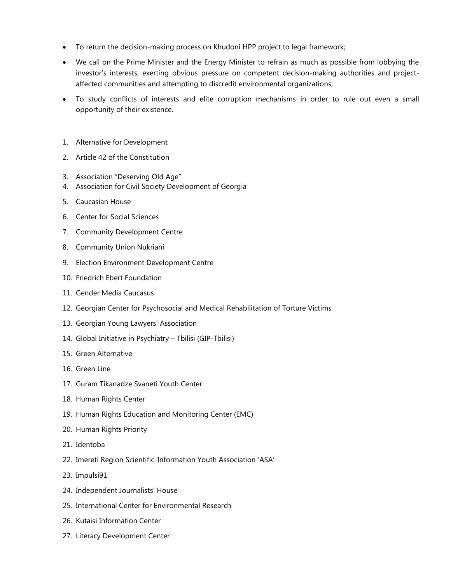- To return the decision-making process on Khudoni HPP project to legal framework;
- We call on the Prime Minister and the Energy Minister to refrain as much as possible from lobbying the investor's interests, exerting obvious pressure on competent decision-making authorities and projectaffected communities and attempting to discredit environmental organizations;
- To study conflicts of interests and elite corruption mechanisms in order to rule out even a small opportunity of their existence.
- 1. Alternative for Development
- 2. Article 42 of the Constitution
- 3. Association "Deserving Old Age"
- 4. Association for Civil Society Development of Georgia
- 5. Caucasian House
- 6. Center for Social Sciences
- 7. Community Development Centre
- 8. Community Union Nukriani
- 9. Election Environment Development Centre
- 10. Friedrich Ebert Foundation
- 11. Gender Media Caucasus
- 12. Georgian Center for Psychosocial and Medical Rehabilitation of Torture Victims
- 13. Georgian Young Lawyers' Association
- 14. Global Initiative in Psychiatry Tbilisi (GIP-Tbilisi)
- 15. Green Alternative
- 16. Green Line
- 17. Guram Tikanadze Svaneti Youth Center
- 18. Human Rights Center
- 19. Human Rights Education and Monitoring Center (EMC)
- 20. Human Rights Priority
- 21. Identoba
- 22. Imereti Region Scientific-Information Youth Association 'ASA'
- 23. Impulsi91
- 24. Independent Journalists' House
- 25. International Center for Environmental Research
- 26. Kutaisi Information Center
- 27. Literacy Development Center